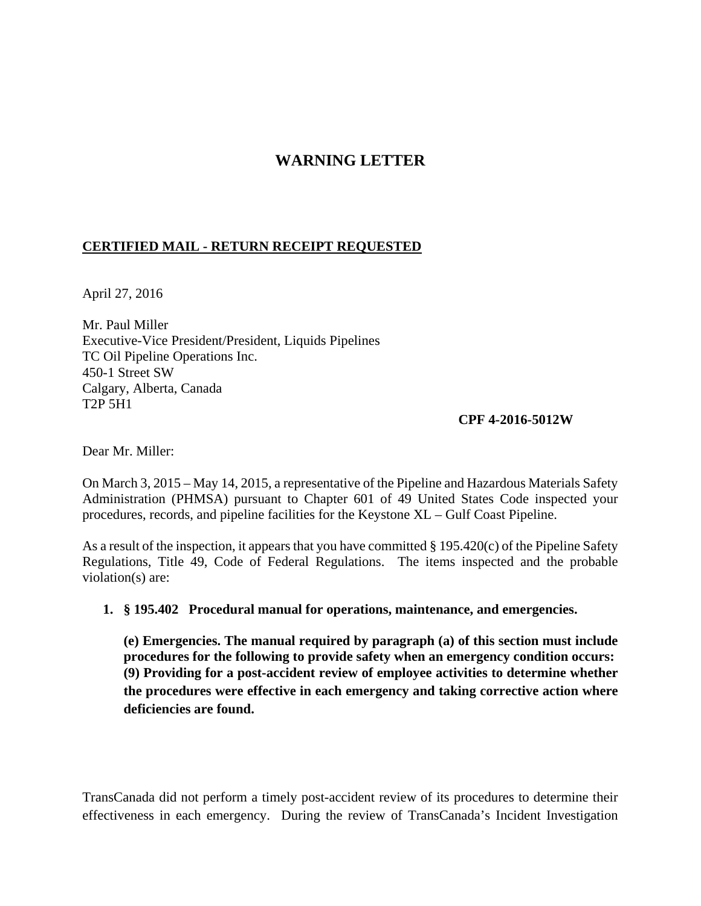# **WARNING LETTER**

#### **CERTIFIED MAIL - RETURN RECEIPT REQUESTED**

April 27, 2016

Mr. Paul Miller Executive-Vice President/President, Liquids Pipelines TC Oil Pipeline Operations Inc. 450-1 Street SW Calgary, Alberta, Canada T2P 5H1

#### **CPF 4-2016-5012W**

Dear Mr. Miller:

On March 3, 2015 – May 14, 2015, a representative of the Pipeline and Hazardous Materials Safety Administration (PHMSA) pursuant to Chapter 601 of 49 United States Code inspected your procedures, records, and pipeline facilities for the Keystone XL – Gulf Coast Pipeline.

As a result of the inspection, it appears that you have committed § 195.420(c) of the Pipeline Safety Regulations, Title 49, Code of Federal Regulations. The items inspected and the probable violation(s) are:

**1. § 195.402 Procedural manual for operations, maintenance, and emergencies.**

**(e) Emergencies. The manual required by paragraph (a) of this section must include procedures for the following to provide safety when an emergency condition occurs: (9) Providing for a post-accident review of employee activities to determine whether the procedures were effective in each emergency and taking corrective action where deficiencies are found.**

TransCanada did not perform a timely post-accident review of its procedures to determine their effectiveness in each emergency. During the review of TransCanada's Incident Investigation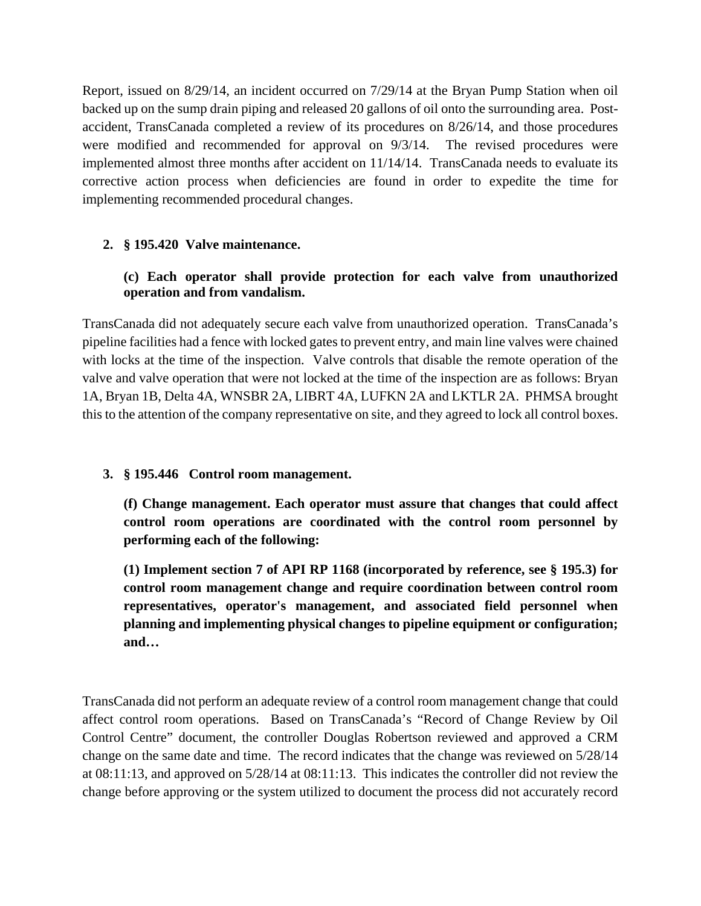Report, issued on 8/29/14, an incident occurred on 7/29/14 at the Bryan Pump Station when oil backed up on the sump drain piping and released 20 gallons of oil onto the surrounding area. Postaccident, TransCanada completed a review of its procedures on 8/26/14, and those procedures were modified and recommended for approval on 9/3/14. The revised procedures were implemented almost three months after accident on 11/14/14. TransCanada needs to evaluate its corrective action process when deficiencies are found in order to expedite the time for implementing recommended procedural changes.

# **2. § 195.420 Valve maintenance.**

# **(c) Each operator shall provide protection for each valve from unauthorized operation and from vandalism.**

TransCanada did not adequately secure each valve from unauthorized operation. TransCanada's pipeline facilities had a fence with locked gates to prevent entry, and main line valves were chained with locks at the time of the inspection. Valve controls that disable the remote operation of the valve and valve operation that were not locked at the time of the inspection are as follows: Bryan 1A, Bryan 1B, Delta 4A, WNSBR 2A, LIBRT 4A, LUFKN 2A and LKTLR 2A. PHMSA brought this to the attention of the company representative on site, and they agreed to lock all control boxes.

#### **3. § 195.446 Control room management.**

**(f) Change management. Each operator must assure that changes that could affect control room operations are coordinated with the control room personnel by performing each of the following:**

**(1) Implement section 7 of API RP 1168 (incorporated by reference, see § 195.3) for control room management change and require coordination between control room representatives, operator's management, and associated field personnel when planning and implementing physical changes to pipeline equipment or configuration; and…**

TransCanada did not perform an adequate review of a control room management change that could affect control room operations. Based on TransCanada's "Record of Change Review by Oil Control Centre" document, the controller Douglas Robertson reviewed and approved a CRM change on the same date and time. The record indicates that the change was reviewed on 5/28/14 at 08:11:13, and approved on 5/28/14 at 08:11:13. This indicates the controller did not review the change before approving or the system utilized to document the process did not accurately record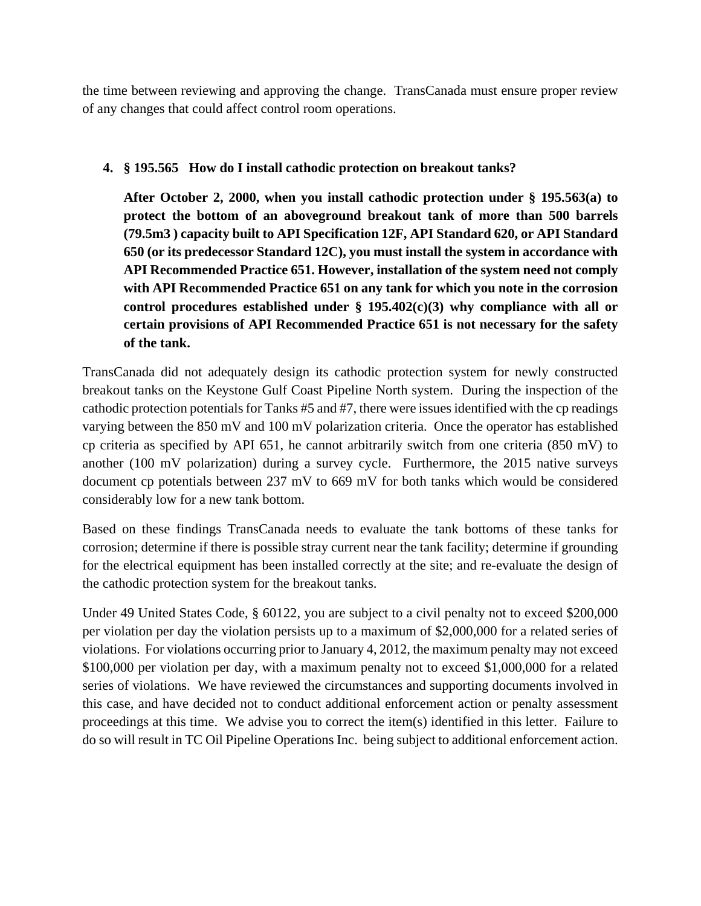the time between reviewing and approving the change. TransCanada must ensure proper review of any changes that could affect control room operations.

### **4. § 195.565 How do I install cathodic protection on breakout tanks?**

**After October 2, 2000, when you install cathodic protection under § 195.563(a) to protect the bottom of an aboveground breakout tank of more than 500 barrels (79.5m3 ) capacity built to API Specification 12F, API Standard 620, or API Standard 650 (or its predecessor Standard 12C), you must install the system in accordance with API Recommended Practice 651. However, installation of the system need not comply with API Recommended Practice 651 on any tank for which you note in the corrosion control procedures established under § 195.402(c)(3) why compliance with all or certain provisions of API Recommended Practice 651 is not necessary for the safety of the tank.**

TransCanada did not adequately design its cathodic protection system for newly constructed breakout tanks on the Keystone Gulf Coast Pipeline North system. During the inspection of the cathodic protection potentials for Tanks #5 and #7, there were issues identified with the cp readings varying between the 850 mV and 100 mV polarization criteria. Once the operator has established cp criteria as specified by API 651, he cannot arbitrarily switch from one criteria (850 mV) to another (100 mV polarization) during a survey cycle. Furthermore, the 2015 native surveys document cp potentials between 237 mV to 669 mV for both tanks which would be considered considerably low for a new tank bottom.

Based on these findings TransCanada needs to evaluate the tank bottoms of these tanks for corrosion; determine if there is possible stray current near the tank facility; determine if grounding for the electrical equipment has been installed correctly at the site; and re-evaluate the design of the cathodic protection system for the breakout tanks.

Under 49 United States Code, § 60122, you are subject to a civil penalty not to exceed \$200,000 per violation per day the violation persists up to a maximum of \$2,000,000 for a related series of violations. For violations occurring prior to January 4, 2012, the maximum penalty may not exceed \$100,000 per violation per day, with a maximum penalty not to exceed \$1,000,000 for a related series of violations. We have reviewed the circumstances and supporting documents involved in this case, and have decided not to conduct additional enforcement action or penalty assessment proceedings at this time. We advise you to correct the item(s) identified in this letter. Failure to do so will result in TC Oil Pipeline Operations Inc. being subject to additional enforcement action.